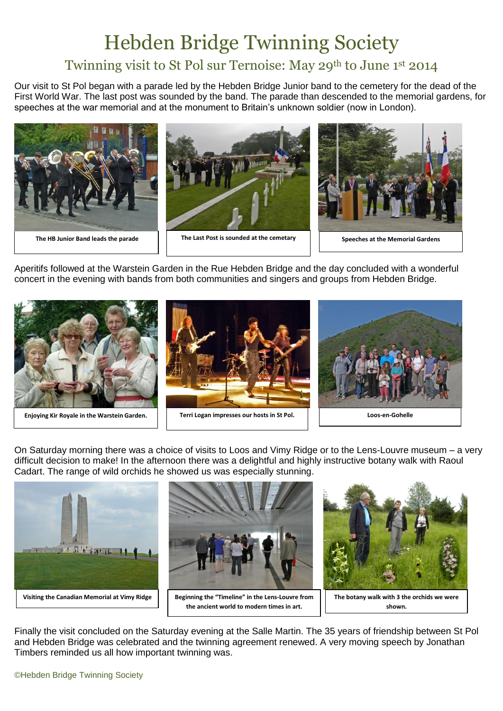## Hebden Bridge Twinning Society

## Twinning visit to St Pol sur Ternoise: May 29th to June 1st 2014

Our visit to St Pol began with a parade led by the Hebden Bridge Junior band to the cemetery for the dead of the First World War. The last post was sounded by the band. The parade than descended to the memorial gardens, for speeches at the war memorial and at the monument to Britain's unknown soldier (now in London).



Aperitifs followed at the Warstein Garden in the Rue Hebden Bridge and the day concluded with a wonderful concert in the evening with bands from both communities and singers and groups from Hebden Bridge.



On Saturday morning there was a choice of visits to Loos and Vimy Ridge or to the Lens-Louvre museum – a very difficult decision to make! In the afternoon there was a delightful and highly instructive botany walk with Raoul Cadart. The range of wild orchids he showed us was especially stunning.



Finally the visit concluded on the Saturday evening at the Salle Martin. The 35 years of friendship between St Pol and Hebden Bridge was celebrated and the twinning agreement renewed. A very moving speech by Jonathan Timbers reminded us all how important twinning was.